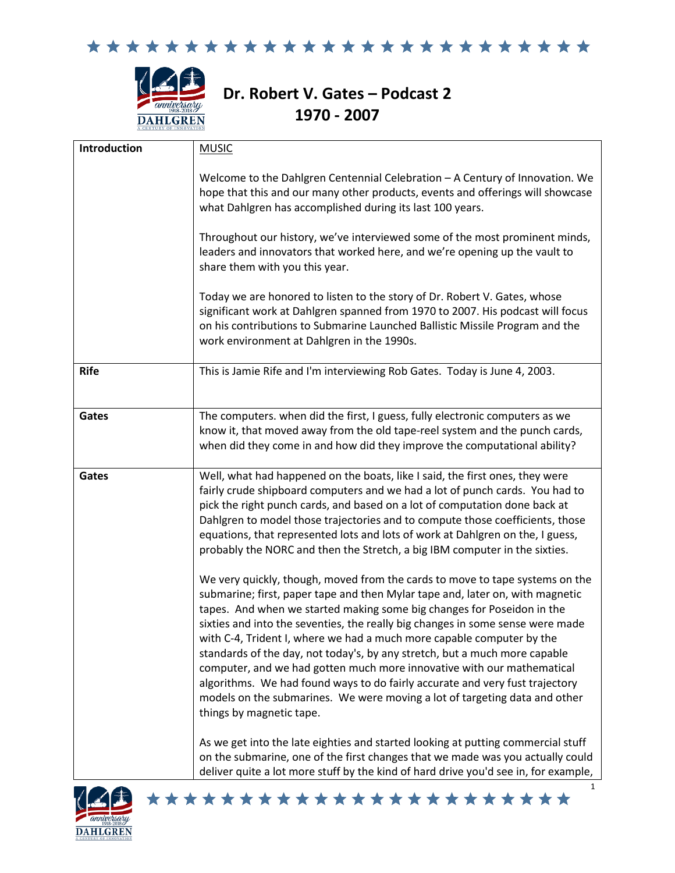



## **Dr. Robert V. Gates – Podcast 2 1970 - 2007**

| Introduction | <b>MUSIC</b>                                                                                                                                                                                                                                                                                                                                                                                                                                                                                                                                                                                                                                                                                                                                                                                                                                                                                                                                                                                                                                              |
|--------------|-----------------------------------------------------------------------------------------------------------------------------------------------------------------------------------------------------------------------------------------------------------------------------------------------------------------------------------------------------------------------------------------------------------------------------------------------------------------------------------------------------------------------------------------------------------------------------------------------------------------------------------------------------------------------------------------------------------------------------------------------------------------------------------------------------------------------------------------------------------------------------------------------------------------------------------------------------------------------------------------------------------------------------------------------------------|
|              | Welcome to the Dahlgren Centennial Celebration - A Century of Innovation. We<br>hope that this and our many other products, events and offerings will showcase<br>what Dahlgren has accomplished during its last 100 years.                                                                                                                                                                                                                                                                                                                                                                                                                                                                                                                                                                                                                                                                                                                                                                                                                               |
|              | Throughout our history, we've interviewed some of the most prominent minds,<br>leaders and innovators that worked here, and we're opening up the vault to<br>share them with you this year.                                                                                                                                                                                                                                                                                                                                                                                                                                                                                                                                                                                                                                                                                                                                                                                                                                                               |
|              | Today we are honored to listen to the story of Dr. Robert V. Gates, whose<br>significant work at Dahlgren spanned from 1970 to 2007. His podcast will focus<br>on his contributions to Submarine Launched Ballistic Missile Program and the<br>work environment at Dahlgren in the 1990s.                                                                                                                                                                                                                                                                                                                                                                                                                                                                                                                                                                                                                                                                                                                                                                 |
| <b>Rife</b>  | This is Jamie Rife and I'm interviewing Rob Gates. Today is June 4, 2003.                                                                                                                                                                                                                                                                                                                                                                                                                                                                                                                                                                                                                                                                                                                                                                                                                                                                                                                                                                                 |
| Gates        | The computers. when did the first, I guess, fully electronic computers as we<br>know it, that moved away from the old tape-reel system and the punch cards,<br>when did they come in and how did they improve the computational ability?                                                                                                                                                                                                                                                                                                                                                                                                                                                                                                                                                                                                                                                                                                                                                                                                                  |
| Gates        | Well, what had happened on the boats, like I said, the first ones, they were<br>fairly crude shipboard computers and we had a lot of punch cards. You had to<br>pick the right punch cards, and based on a lot of computation done back at<br>Dahlgren to model those trajectories and to compute those coefficients, those<br>equations, that represented lots and lots of work at Dahlgren on the, I guess,<br>probably the NORC and then the Stretch, a big IBM computer in the sixties.<br>We very quickly, though, moved from the cards to move to tape systems on the<br>submarine; first, paper tape and then Mylar tape and, later on, with magnetic<br>tapes. And when we started making some big changes for Poseidon in the<br>sixties and into the seventies, the really big changes in some sense were made<br>with C-4, Trident I, where we had a much more capable computer by the<br>standards of the day, not today's, by any stretch, but a much more capable<br>computer, and we had gotten much more innovative with our mathematical |
|              | algorithms. We had found ways to do fairly accurate and very fust trajectory<br>models on the submarines. We were moving a lot of targeting data and other<br>things by magnetic tape.                                                                                                                                                                                                                                                                                                                                                                                                                                                                                                                                                                                                                                                                                                                                                                                                                                                                    |
|              | As we get into the late eighties and started looking at putting commercial stuff<br>on the submarine, one of the first changes that we made was you actually could<br>deliver quite a lot more stuff by the kind of hard drive you'd see in, for example,                                                                                                                                                                                                                                                                                                                                                                                                                                                                                                                                                                                                                                                                                                                                                                                                 |

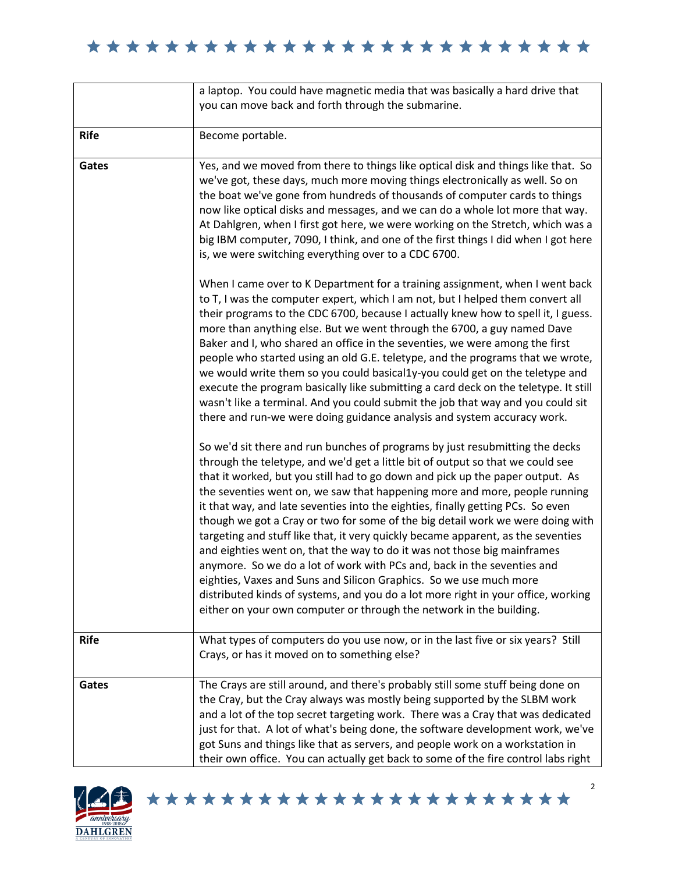|             | a laptop. You could have magnetic media that was basically a hard drive that<br>you can move back and forth through the submarine.                                                                                                                                                                                                                                                                                                                                                                                                                                                                                                                                                                                                                                                                                                                                                                                                                                              |
|-------------|---------------------------------------------------------------------------------------------------------------------------------------------------------------------------------------------------------------------------------------------------------------------------------------------------------------------------------------------------------------------------------------------------------------------------------------------------------------------------------------------------------------------------------------------------------------------------------------------------------------------------------------------------------------------------------------------------------------------------------------------------------------------------------------------------------------------------------------------------------------------------------------------------------------------------------------------------------------------------------|
| <b>Rife</b> | Become portable.                                                                                                                                                                                                                                                                                                                                                                                                                                                                                                                                                                                                                                                                                                                                                                                                                                                                                                                                                                |
| Gates       | Yes, and we moved from there to things like optical disk and things like that. So<br>we've got, these days, much more moving things electronically as well. So on<br>the boat we've gone from hundreds of thousands of computer cards to things<br>now like optical disks and messages, and we can do a whole lot more that way.<br>At Dahlgren, when I first got here, we were working on the Stretch, which was a<br>big IBM computer, 7090, I think, and one of the first things I did when I got here<br>is, we were switching everything over to a CDC 6700.                                                                                                                                                                                                                                                                                                                                                                                                               |
|             | When I came over to K Department for a training assignment, when I went back<br>to T, I was the computer expert, which I am not, but I helped them convert all<br>their programs to the CDC 6700, because I actually knew how to spell it, I guess.<br>more than anything else. But we went through the 6700, a guy named Dave<br>Baker and I, who shared an office in the seventies, we were among the first<br>people who started using an old G.E. teletype, and the programs that we wrote,<br>we would write them so you could basical1y-you could get on the teletype and<br>execute the program basically like submitting a card deck on the teletype. It still<br>wasn't like a terminal. And you could submit the job that way and you could sit<br>there and run-we were doing guidance analysis and system accuracy work.                                                                                                                                            |
|             | So we'd sit there and run bunches of programs by just resubmitting the decks<br>through the teletype, and we'd get a little bit of output so that we could see<br>that it worked, but you still had to go down and pick up the paper output. As<br>the seventies went on, we saw that happening more and more, people running<br>it that way, and late seventies into the eighties, finally getting PCs. So even<br>though we got a Cray or two for some of the big detail work we were doing with<br>targeting and stuff like that, it very quickly became apparent, as the seventies<br>and eighties went on, that the way to do it was not those big mainframes<br>anymore. So we do a lot of work with PCs and, back in the seventies and<br>eighties, Vaxes and Suns and Silicon Graphics. So we use much more<br>distributed kinds of systems, and you do a lot more right in your office, working<br>either on your own computer or through the network in the building. |
| <b>Rife</b> | What types of computers do you use now, or in the last five or six years? Still<br>Crays, or has it moved on to something else?                                                                                                                                                                                                                                                                                                                                                                                                                                                                                                                                                                                                                                                                                                                                                                                                                                                 |
| Gates       | The Crays are still around, and there's probably still some stuff being done on<br>the Cray, but the Cray always was mostly being supported by the SLBM work<br>and a lot of the top secret targeting work. There was a Cray that was dedicated<br>just for that. A lot of what's being done, the software development work, we've<br>got Suns and things like that as servers, and people work on a workstation in<br>their own office. You can actually get back to some of the fire control labs right                                                                                                                                                                                                                                                                                                                                                                                                                                                                       |

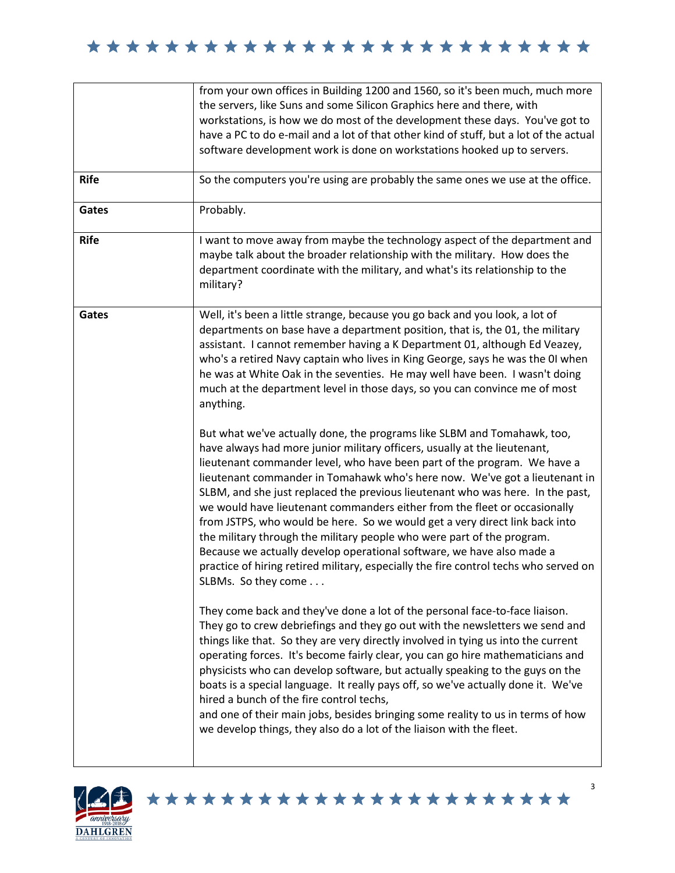| <b>Rife</b><br>Gates<br><b>Rife</b> | from your own offices in Building 1200 and 1560, so it's been much, much more<br>the servers, like Suns and some Silicon Graphics here and there, with<br>workstations, is how we do most of the development these days. You've got to<br>have a PC to do e-mail and a lot of that other kind of stuff, but a lot of the actual<br>software development work is done on workstations hooked up to servers.<br>So the computers you're using are probably the same ones we use at the office.<br>Probably.<br>I want to move away from maybe the technology aspect of the department and<br>maybe talk about the broader relationship with the military. How does the                                                                                                                                                                                                                                                                                                                                                                                                                                                                                                                                                                                                                                                                                                                                                                                                                                                                                                                                                                                                                                                                                                                                                                                                                                                                                                                                                                                         |
|-------------------------------------|--------------------------------------------------------------------------------------------------------------------------------------------------------------------------------------------------------------------------------------------------------------------------------------------------------------------------------------------------------------------------------------------------------------------------------------------------------------------------------------------------------------------------------------------------------------------------------------------------------------------------------------------------------------------------------------------------------------------------------------------------------------------------------------------------------------------------------------------------------------------------------------------------------------------------------------------------------------------------------------------------------------------------------------------------------------------------------------------------------------------------------------------------------------------------------------------------------------------------------------------------------------------------------------------------------------------------------------------------------------------------------------------------------------------------------------------------------------------------------------------------------------------------------------------------------------------------------------------------------------------------------------------------------------------------------------------------------------------------------------------------------------------------------------------------------------------------------------------------------------------------------------------------------------------------------------------------------------------------------------------------------------------------------------------------------------|
|                                     | department coordinate with the military, and what's its relationship to the<br>military?                                                                                                                                                                                                                                                                                                                                                                                                                                                                                                                                                                                                                                                                                                                                                                                                                                                                                                                                                                                                                                                                                                                                                                                                                                                                                                                                                                                                                                                                                                                                                                                                                                                                                                                                                                                                                                                                                                                                                                     |
| Gates                               | Well, it's been a little strange, because you go back and you look, a lot of<br>departments on base have a department position, that is, the 01, the military<br>assistant. I cannot remember having a K Department 01, although Ed Veazey,<br>who's a retired Navy captain who lives in King George, says he was the 0I when<br>he was at White Oak in the seventies. He may well have been. I wasn't doing<br>much at the department level in those days, so you can convince me of most<br>anything.<br>But what we've actually done, the programs like SLBM and Tomahawk, too,<br>have always had more junior military officers, usually at the lieutenant,<br>lieutenant commander level, who have been part of the program. We have a<br>lieutenant commander in Tomahawk who's here now. We've got a lieutenant in<br>SLBM, and she just replaced the previous lieutenant who was here. In the past,<br>we would have lieutenant commanders either from the fleet or occasionally<br>from JSTPS, who would be here. So we would get a very direct link back into<br>the military through the military people who were part of the program.<br>Because we actually develop operational software, we have also made a<br>practice of hiring retired military, especially the fire control techs who served on<br>SLBMs. So they come<br>They come back and they've done a lot of the personal face-to-face liaison.<br>They go to crew debriefings and they go out with the newsletters we send and<br>things like that. So they are very directly involved in tying us into the current<br>operating forces. It's become fairly clear, you can go hire mathematicians and<br>physicists who can develop software, but actually speaking to the guys on the<br>boats is a special language. It really pays off, so we've actually done it. We've<br>hired a bunch of the fire control techs,<br>and one of their main jobs, besides bringing some reality to us in terms of how<br>we develop things, they also do a lot of the liaison with the fleet. |

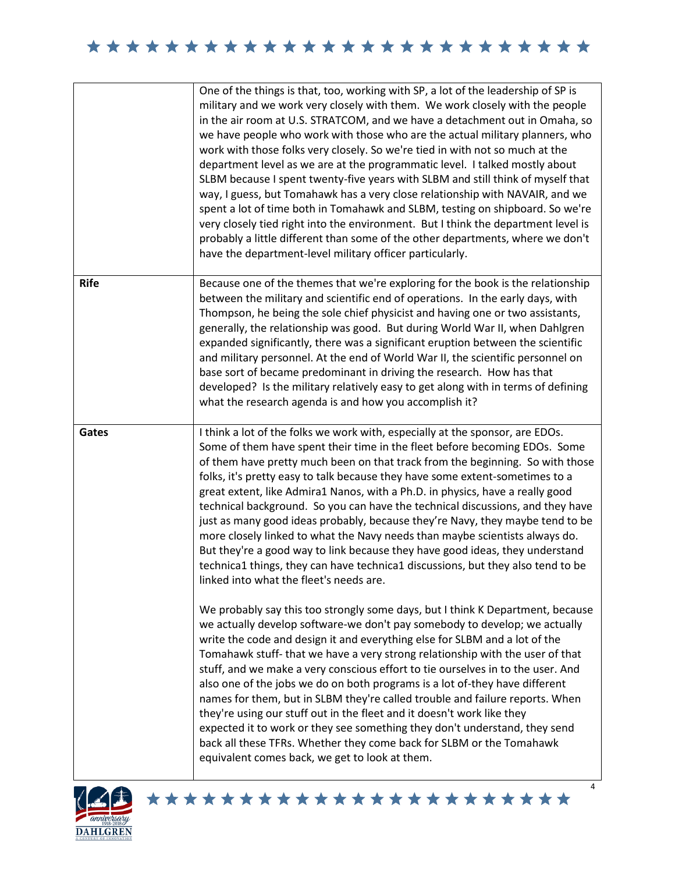|             | One of the things is that, too, working with SP, a lot of the leadership of SP is<br>military and we work very closely with them. We work closely with the people<br>in the air room at U.S. STRATCOM, and we have a detachment out in Omaha, so<br>we have people who work with those who are the actual military planners, who<br>work with those folks very closely. So we're tied in with not so much at the<br>department level as we are at the programmatic level. I talked mostly about<br>SLBM because I spent twenty-five years with SLBM and still think of myself that<br>way, I guess, but Tomahawk has a very close relationship with NAVAIR, and we<br>spent a lot of time both in Tomahawk and SLBM, testing on shipboard. So we're<br>very closely tied right into the environment. But I think the department level is<br>probably a little different than some of the other departments, where we don't<br>have the department-level military officer particularly. |
|-------------|----------------------------------------------------------------------------------------------------------------------------------------------------------------------------------------------------------------------------------------------------------------------------------------------------------------------------------------------------------------------------------------------------------------------------------------------------------------------------------------------------------------------------------------------------------------------------------------------------------------------------------------------------------------------------------------------------------------------------------------------------------------------------------------------------------------------------------------------------------------------------------------------------------------------------------------------------------------------------------------|
| <b>Rife</b> | Because one of the themes that we're exploring for the book is the relationship<br>between the military and scientific end of operations. In the early days, with<br>Thompson, he being the sole chief physicist and having one or two assistants,<br>generally, the relationship was good. But during World War II, when Dahlgren<br>expanded significantly, there was a significant eruption between the scientific<br>and military personnel. At the end of World War II, the scientific personnel on<br>base sort of became predominant in driving the research. How has that<br>developed? Is the military relatively easy to get along with in terms of defining<br>what the research agenda is and how you accomplish it?                                                                                                                                                                                                                                                       |
| Gates       | I think a lot of the folks we work with, especially at the sponsor, are EDOs.<br>Some of them have spent their time in the fleet before becoming EDOs. Some<br>of them have pretty much been on that track from the beginning. So with those<br>folks, it's pretty easy to talk because they have some extent-sometimes to a                                                                                                                                                                                                                                                                                                                                                                                                                                                                                                                                                                                                                                                           |
|             | great extent, like Admira1 Nanos, with a Ph.D. in physics, have a really good<br>technical background. So you can have the technical discussions, and they have<br>just as many good ideas probably, because they're Navy, they maybe tend to be<br>more closely linked to what the Navy needs than maybe scientists always do.<br>But they're a good way to link because they have good ideas, they understand<br>technica1 things, they can have technica1 discussions, but they also tend to be<br>linked into what the fleet's needs are.                                                                                                                                                                                                                                                                                                                                                                                                                                          |

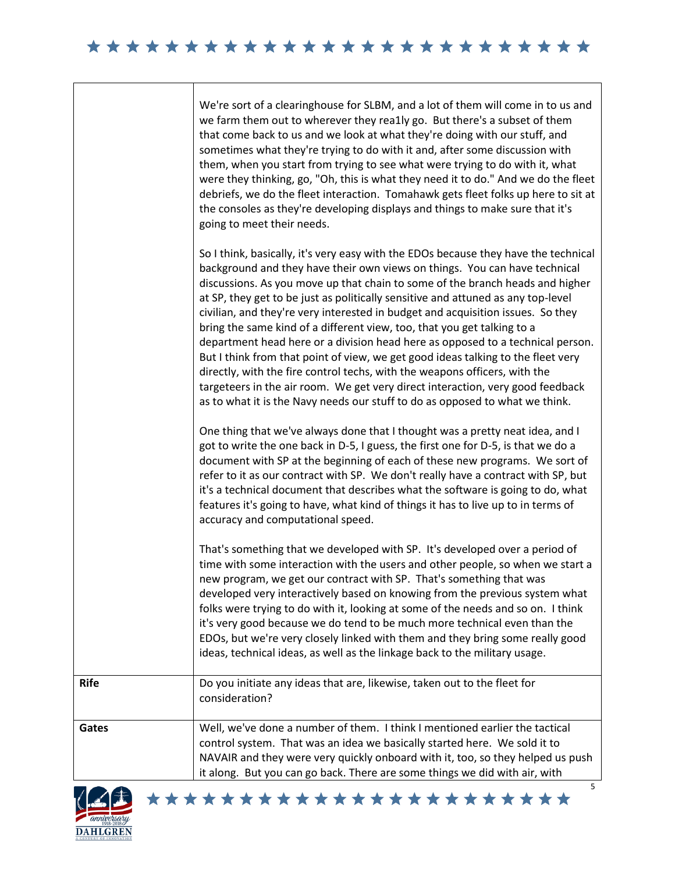|             | We're sort of a clearinghouse for SLBM, and a lot of them will come in to us and<br>we farm them out to wherever they rea1ly go. But there's a subset of them<br>that come back to us and we look at what they're doing with our stuff, and<br>sometimes what they're trying to do with it and, after some discussion with<br>them, when you start from trying to see what were trying to do with it, what<br>were they thinking, go, "Oh, this is what they need it to do." And we do the fleet<br>debriefs, we do the fleet interaction. Tomahawk gets fleet folks up here to sit at<br>the consoles as they're developing displays and things to make sure that it's<br>going to meet their needs.                                                                                                                                                                                                                      |
|-------------|----------------------------------------------------------------------------------------------------------------------------------------------------------------------------------------------------------------------------------------------------------------------------------------------------------------------------------------------------------------------------------------------------------------------------------------------------------------------------------------------------------------------------------------------------------------------------------------------------------------------------------------------------------------------------------------------------------------------------------------------------------------------------------------------------------------------------------------------------------------------------------------------------------------------------|
|             | So I think, basically, it's very easy with the EDOs because they have the technical<br>background and they have their own views on things. You can have technical<br>discussions. As you move up that chain to some of the branch heads and higher<br>at SP, they get to be just as politically sensitive and attuned as any top-level<br>civilian, and they're very interested in budget and acquisition issues. So they<br>bring the same kind of a different view, too, that you get talking to a<br>department head here or a division head here as opposed to a technical person.<br>But I think from that point of view, we get good ideas talking to the fleet very<br>directly, with the fire control techs, with the weapons officers, with the<br>targeteers in the air room. We get very direct interaction, very good feedback<br>as to what it is the Navy needs our stuff to do as opposed to what we think. |
|             | One thing that we've always done that I thought was a pretty neat idea, and I<br>got to write the one back in D-5, I guess, the first one for D-5, is that we do a<br>document with SP at the beginning of each of these new programs. We sort of<br>refer to it as our contract with SP. We don't really have a contract with SP, but<br>it's a technical document that describes what the software is going to do, what<br>features it's going to have, what kind of things it has to live up to in terms of<br>accuracy and computational speed.                                                                                                                                                                                                                                                                                                                                                                        |
|             | That's something that we developed with SP. It's developed over a period of<br>time with some interaction with the users and other people, so when we start a<br>new program, we get our contract with SP. That's something that was<br>developed very interactively based on knowing from the previous system what<br>folks were trying to do with it, looking at some of the needs and so on. I think<br>it's very good because we do tend to be much more technical even than the<br>EDOs, but we're very closely linked with them and they bring some really good<br>ideas, technical ideas, as well as the linkage back to the military usage.                                                                                                                                                                                                                                                                        |
| <b>Rife</b> | Do you initiate any ideas that are, likewise, taken out to the fleet for<br>consideration?                                                                                                                                                                                                                                                                                                                                                                                                                                                                                                                                                                                                                                                                                                                                                                                                                                 |
| Gates       | Well, we've done a number of them. I think I mentioned earlier the tactical<br>control system. That was an idea we basically started here. We sold it to<br>NAVAIR and they were very quickly onboard with it, too, so they helped us push<br>it along. But you can go back. There are some things we did with air, with                                                                                                                                                                                                                                                                                                                                                                                                                                                                                                                                                                                                   |



 $\Gamma$ 

Т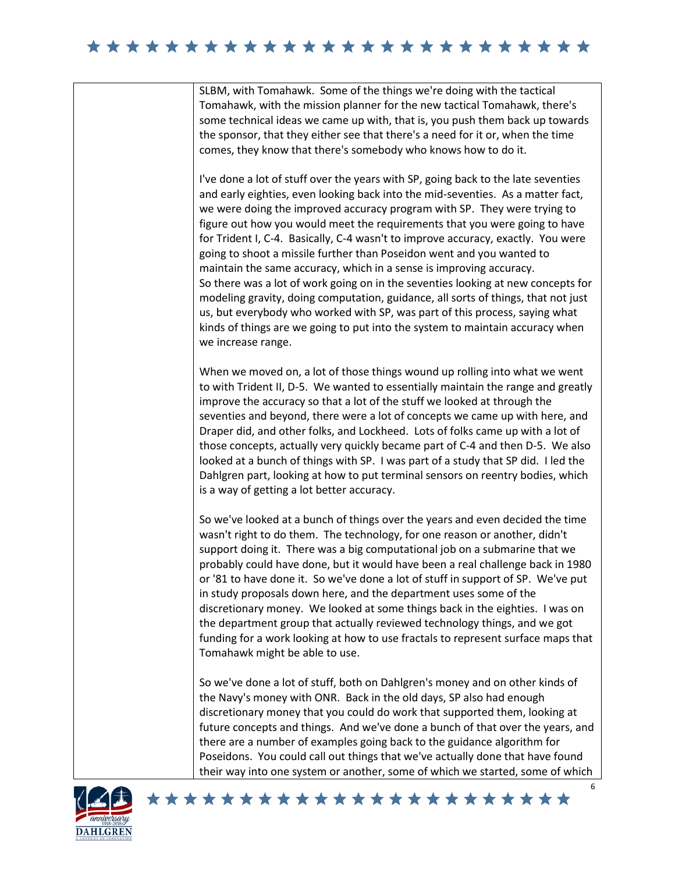## 

SLBM, with Tomahawk. Some of the things we're doing with the tactical Tomahawk, with the mission planner for the new tactical Tomahawk, there's some technical ideas we came up with, that is, you push them back up towards the sponsor, that they either see that there's a need for it or, when the time comes, they know that there's somebody who knows how to do it.

I've done a lot of stuff over the years with SP, going back to the late seventies and early eighties, even looking back into the mid-seventies. As a matter fact, we were doing the improved accuracy program with SP. They were trying to figure out how you would meet the requirements that you were going to have for Trident I, C-4. Basically, C-4 wasn't to improve accuracy, exactly. You were going to shoot a missile further than Poseidon went and you wanted to maintain the same accuracy, which in a sense is improving accuracy. So there was a lot of work going on in the seventies looking at new concepts for modeling gravity, doing computation, guidance, all sorts of things, that not just us, but everybody who worked with SP, was part of this process, saying what kinds of things are we going to put into the system to maintain accuracy when we increase range.

When we moved on, a lot of those things wound up rolling into what we went to with Trident II, D-5. We wanted to essentially maintain the range and greatly improve the accuracy so that a lot of the stuff we looked at through the seventies and beyond, there were a lot of concepts we came up with here, and Draper did, and other folks, and Lockheed. Lots of folks came up with a lot of those concepts, actually very quickly became part of C-4 and then D-5. We also looked at a bunch of things with SP. I was part of a study that SP did. I led the Dahlgren part, looking at how to put terminal sensors on reentry bodies, which is a way of getting a lot better accuracy.

So we've looked at a bunch of things over the years and even decided the time wasn't right to do them. The technology, for one reason or another, didn't support doing it. There was a big computational job on a submarine that we probably could have done, but it would have been a real challenge back in 1980 or '81 to have done it. So we've done a lot of stuff in support of SP. We've put in study proposals down here, and the department uses some of the discretionary money. We looked at some things back in the eighties. I was on the department group that actually reviewed technology things, and we got funding for a work looking at how to use fractals to represent surface maps that Tomahawk might be able to use.

So we've done a lot of stuff, both on Dahlgren's money and on other kinds of the Navy's money with ONR. Back in the old days, SP also had enough discretionary money that you could do work that supported them, looking at future concepts and things. And we've done a bunch of that over the years, and there are a number of examples going back to the guidance algorithm for Poseidons. You could call out things that we've actually done that have found their way into one system or another, some of which we started, some of which